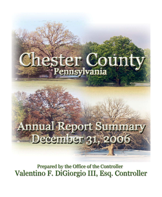

**Prepared by the Office of the Controller** Valentino F. DiGiorgio III, Esq. Controller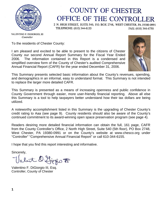

# **COUNTY OF CHESTER** OFFICE OF THE CONTROLLER

2 N. HIGH STREET, SUITE 540, P.O. BOX 2748, WEST CHESTER, PA 19380-0991 TELEPHONE: (610) 344-6155 FAX: (610) 344-6750

VALENTINO F. DIGIORGIO, III Controller

To the residents of Chester County:

I am pleased and excited to be able to present to the citizens of Chester County our second Annual Report Summary for the Fiscal Year Ended 2006. The information contained in this Report is a condensed and simplified overview form of the County of Chester's audited Comprehensive Annual Financial Report (CAFR) for the year ended December 31, 2006.



This Summary presents selected basic information about the County's revenues, spending, and demographics in an informal, easy to understand format. This Summary is not intended to replace the larger more detailed CAFR.

This Summary is presented as a means of increasing openness and public confidence in County Government through easier, more user-friendly financial reporting. Above all else this Summary is a tool to help taxpayers better understand how their tax dollars are being utilized.

A noteworthy accomplishment listed in this Summary is the upgrading of Chester County's credit rating to Aaa (see page 9). County residents should also be aware of the County's continued commitment to its award-winning open space preservation program (see page 4).

Readers desiring more detailed financial information can obtain the full, 161 page, CAFR from the County Controller's Office, 2 North High Street, Suite 540 (5th floor), PO Box 2748, West Chester, PA 19380-0991 or on the County's website at www.chesco.org under "Controller" "Comprehensive Annual Financial Report" or call 610-344-6155.

I hope that you find this report interesting and informative.

Sincerely,

abit D. Ljegio F

Valentino F. DiGiorgio III, Esq. Controller, County of Chester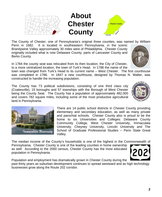Population and employment has dramatically grown in Chester County during the past thirty years as suburban development continues to spread westward and as high technology businesses grow along the Route 202 corridor.

The median income of the County's households is one of the highest in the Commonwealth of Pennsylvania. Chester County is one of the leading counties in home ownership as well. According to the 2000 census, Chester County has the most educated population in Pennsylvania.

There are 14 public school districts in Chester County providing elementary and secondary education, as well as many private and parochial schools. Chester County also is proud to be the home to six Universities and Colleges: Delaware County Community College, West Chester University, Immaculata University, Cheyney University, Lincoln University and The School of Graduate Professional Studies – Penn State Great

constructed to handle the increasing population.

The County of Chester, one of Pennsylvania's original three counties, was named by William

**About** 

**Chester** 

**County**

Penn in 1682. It is located in southeastern Pennsylvania, in the scenic Brandywine Valley approximately 30 miles west of Philadelphia. Chester County originally included what is now Delaware County, parts of Lancaster County and Berks County.

In 1784 the county seat was relocated from its then location, the City of Chester, to a more centralized location, the town of Turk's Head. In 1788 the name of the

town was changed from Turk's Head to its current name – West Chester. The first courthouse was completed in 1786. In 1847 a new courthouse, designed by Thomas N. Walter, was

The County has 73 political subdivisions, consisting of one third class city (Coatesville), 15 boroughs and 57 townships with the Borough of West Chester being the County Seat. The County has a population of approximately 482,000 and covers 782 square miles, including some of the most productive agricultural land in Pennsylvania.

Valley.











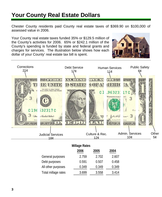## **Your County Real Estate Dollars**

Chester County residents paid County real estate taxes of \$369.90 on \$100,000 of assessed value in 2006.

Your County real estate taxes funded 35% or \$129.5 million of the County's activities for 2006. 65% or \$242.1 million of the County's spending is funded by state and federal grants and charges for services. The illustration below shows how each dollar of your County' real estate tax bill is spent.





|                     | <b>Millage Rates</b> |       |       |
|---------------------|----------------------|-------|-------|
|                     | 2006                 | 2005  | 2004  |
| General purposes    | 2.759                | 2.702 | 2.607 |
| Debt purposes       | 0.591                | 0.507 | 0.458 |
| All other purposes  | 0.349                | 0.349 | 0.349 |
| Total millage rates | 3.699                | 3.558 | 3.414 |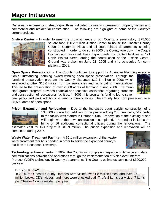## **Major Initiatives**

Our area is experiencing steady growth as indicated by yearly increases in property values and commercial and residential construction. The following are highlights of some of the County's current projects.

**Justice Center** – In order to meet the growing needs of our County, a seven-story, 375,000



square foot, \$90.2 million Justice Center to house the Chester County Court of Common Pleas and all court related departments is being constructed. In order to do so, in 2005 the County tore down the Dague Building and relocated those departments into rented facilities at 121 North Walnut Street during the construction of the Justice Center. Ground was broken on June 21, 2005 and it is scheduled for completion in 2008.

**Open Space Preservation** – The County continues to support its American Planning Association's Outstanding Planning Award winning open space preservation. Through the farmland preservation program the County disbursed \$10.4 million in 2006 which leveraged another \$16.6 million from conservancies and participating municipalities. This led to the preservation of over 2,000 acres of farmland during 2006. The municipal grants program provides financial and technical assistance regarding purchase and construction of recreational facilities. In 2006, this program's funding led to seven



new parks and park additions in various municipalities. The County has now preserved over 35,500 acres of open space.

**Prison Expansion and Renovation** – Due to the increased court activity construction of a 130,000 square foot addition to the prison adding 256 new cells, 512 beds, to the facility was started in October 2004. Renovation of the existing prison will begin when the new construction is completed. The project includes the hiring of 16 additional correctional officers during the renovations. The

estimated cost for this project is \$43.9 million. The prison expansion and renovation will be completed during 2007.

**Waste Water Treatment Facility** – A \$5.1 million expansion of the wastewater treatment facility is needed in order to serve the expanded county's facilities in Pocopson Township.



**Technology enhancements.** In 2007, the County will complete integration of its voice and data communications network and operations through the implementation of Voice over Internet Protocol (VOIP) technology in County departments. The County estimates savings of \$300,000 per year.

#### **Did You Know?**

In 2006, the Chester County Libraries were visited over 1.8 million times, and over 3.7 million books, CD's, videos, and more were checked out! That's 2 items per visit or 7 items per Chester County resident per year.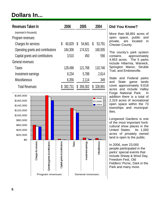# **Dollars In...**

| Revenues Taken In                  | 2006         | 2005         | 2004          |
|------------------------------------|--------------|--------------|---------------|
| (expressed in thousands)           |              |              |               |
| Program revenues:                  |              |              |               |
| Charges for services               | 60,829<br>\$ | 54,661<br>\$ | 53,791<br>S   |
| Operating grants and contributions | 184,306      | 174,521      | 160,935       |
| Capital grants and contributions   | 3,510        | 450          | 556           |
| General revenues:                  |              |              |               |
| Taxes                              | 129,496      | 121,768      | 110,746       |
| Investment earnings                | 8,234        | 5,788        | 2,614         |
| Miscellaneous                      | 6,356        | 2,114        | 349           |
| <b>Total Revenues</b>              | 392,731      | \$ 359,302   | 328,991<br>\$ |



#### **Did You Know?**

More than 68,891 acres of open space, public and private, are located in Chester County.

The county's park system contains approximately 4,953 acres. The 5 parks include Hibernia, Warwick, Springton Manor, Struble Trail, and Embreeville.

State and Federal parks and State game lands cover approximately 9,618 acres and include Valley Forge National Park. In addition there is a total of 2,319 acres of recreational open space within the 73 townships and municipalities.

Longwood Gardens is one of the most important horticultural show places in the United States. Its 1,000 acres of privately owned land is open to the public.

In 2006, over 23,000 people participated in the parks' special events that include Sheep & Wool Day, Freedom Fest, Old Fiddlers' Picnic, Dark in the Park and many more.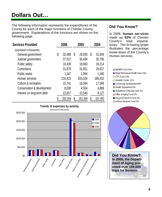# **Dollars Out…**

The following information represents the expenditures of the County for each of the major functions of Chester County government. Explanations of the functions are shown on the following page.

| <b>Services Provided</b>   |    | 2006    | 2005          |   | 2004    |
|----------------------------|----|---------|---------------|---|---------|
| (expressed in thousands)   |    |         |               |   |         |
| General government         | \$ | 32,489  | \$<br>29,593  | S | 31,644  |
| Judicial government        |    | 37,537  | 36,494        |   | 35,795  |
| Public safety              |    | 16,439  | 18,060        |   | 18,214  |
| Corrections                |    | 31,876  | 31,651        |   | 29,617  |
| Public works               |    | 1,347   | 1,084         |   | 1,180   |
| Human services             |    | 216,423 | 203,024       |   | 189,432 |
| Culture & recreation       |    | 15,741  | 16,584        |   | 17,596  |
| Conservation & development |    | 8,000   | 4,554         |   | 4,888   |
| Interest on long-term debt |    | 22,657  | 10,540        |   | 9,127   |
|                            | S  | 382,509 | \$<br>351,584 | S | 337,493 |



### **Did You Know?**

In 2006, **human ser-vices** made up **62%** of Chester County's total expenditures. The fo-lowing graph illustrates the percentage break-down of the County's Human services.

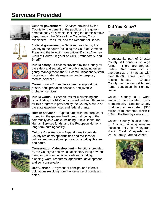## **Services Provided**



**General government** – Services provided by the County for the benefit of the public and the governmental body as a whole, including the administrative departments, the Office of the Controller, Commissioners, Treasurer, and the Recorder of Deeds.



**Judicial government** – Services provided by the County to the courts including the Court of Common Pleas and the following row offices: District Attorney, Clerk of Courts, Register of Wills, Prothonotary, and Sheriff.



**Public safety** – Services provided by the County for the safety and security of the public including emergency management, the 911 communications system, hazardous materials response, and emergency medical services.



**Corrections** – Expenditures used to support the prison, adult probation services, and juvenile probation services.



**Public works** – Expenditures for maintaining and rehabilitating the 97 County owned bridges. Financing for this program is provided by the County's share of the state gasoline taxes and federal grants.



**Human services** – Expenditures with the purpose of promoting the general health and well being of the community as a whole, including Public Health, the Human Services funds, and the Pocopson Home, a long-term nursing facility.



**Culture & recreation** – Expenditures to provide County residents opportunities and facilities for cultural and recreational programs including libraries and parks.



**Conservation & development** – Functions provided by the County to achieve a satisfactory living environment for the community as a whole including: planning, water resources, agricultural development, and soil conservation.

**Debt Service** – Payment of principal and interest obligations resulting from the issuance of bonds and notes.

### **Did You Know?**



A substantial part of Chester County still consists of large farms. There are approximately 1920 farms with an average size of 87 acres, with over 67,000 acres used for raising horses. Chester County has the second largest horse population in Pennsylvania.

Chester County is a world leader in the cultivated mushroom industry. Chester County produced an estimated \$336 million of mushrooms, which is 68% of the Pennsylvania crop.

Chester County is also home to 7 award winning wineries including Folly Hill Vineyards, Kreutz Creek Vineyards, and Va La Family Farmed Wines.

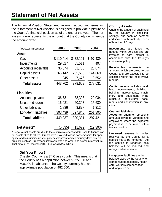### **Statement of Net Assets**

The Financial Position Statement, known in accounting terms as the "Statement of Net Assets", is designed to pro-vide a picture of the County's financial position as of the end of the year. The net assets figure represents the amount that the County owns versus the amount owed.

| (expressed in thousands) | 2006      | 2005     | 2004      |
|--------------------------|-----------|----------|-----------|
| Assets                   |           |          |           |
| Cash                     | \$110,414 | \$78,121 | \$97,439  |
| Investments              | 29,827    | 55,511   | 497       |
| Accounts receivable      | 36,374    | 31,788   | 26,674    |
| Capital assets           | 265,142   | 205,563  | 144,869   |
| Other assets             | 1,945     | 7,676    | 8,552     |
| Total assets             | 443,702   | 378,659  | 278,031   |
| Liabilities              |           |          |           |
| Accounts payable         | 36,731    | 38,303   | 29,034    |
| Unearned revenue         | 16,981    | 20,303   | 15,680    |
| Other liabilities        | 1,886     | 3,877    | 1,312     |
| Long-term liabilities    | 393,439   | 327,848  | 251,395   |
| <b>Total liabilites</b>  | 449,037   | 390,331  | 297,421   |
| Net Assets*              | (5, 335)  | (11,672) | (19, 390) |

\* Negative net assets are due to the cumulative effect of debt used to finance capital assets titled to others. Grants were provided to land conservancies for open space and to municipalities for park development and community development projects, such as Streetscape improvements and water and sewer infrastructure. That amount at December 31, 2006 was \$72.5 million.

#### **Did You Know?**

Chester County is a 3<sup>rd</sup> Class county. This means that the County has a population between 225,000 and 500,000 inhabitants. The County currently has an approximate population of 482,000.

#### **County Assets:**

**Cash** is the amount of cash held by the County in checking, savings, and cash on demand certificates with maturity terms of less than 90 days.

**Investments** are funds not needed within 90 days and are invested to earn interest in accordance with the County's investment policy.

**Receivables** represents the amounts which are owed to the County and are expected to be collected within the next twelve months.

**Capital assets** includes land, land improvements, buildings, building improvements, machinery and equipment, infrastructure, agricultural easements and construction in process.

#### **County Liabilities:**

**Accounts payable** represents amounts owed to vendors and employees where the expected payment is to be made within twelve months.

**Unearned revenue** is monies received by the County for a service yet to be rendered. As the service is rendered, this balance will be reduced and recognized as revenue.

**Long-term liabilities** are the balance owed by the County for compensated absences, health care, workers compensation, and long-term debt.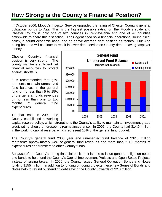## **How Strong is the County's Financial Position?**

In October 2006, Moody's Investor Service upgraded the rating of Chester County's general obligation bonds to Aaa. This is the highest possible rating on the Moody's scale and Chester County is only one of two counties in Pennsylvania and one of 47 counties nationwide to share this distinction. Their agent cited solid financial operations, sound fiscal policy, a sound economic base, and an above average debt position as factors. Our Aaa rating has and will continue to result in lower debt service on County debt – saving taxpayer money.

Chester County's financial position is very strong. The county maintains sufficient net financial resources to protect against shortfalls.

It is recommended that governments maintain unreserved fund balances in the general fund of no less than 5 to 15% of the general funds revenues or no less than one to two months of general fund expenditures.

To that end, in 2000, the County established a working



capital reserve policy, which strengthens the County's ability to maintain an investment grade credit rating should unforeseen circumstances arise. In 2006, the County had \$14.9 million in the working capital reserve, which represent 10% of the general fund budget.

The County's general fund 2006 year end unreserved fund balance of \$32.3 million represents approximately 24% of general fund revenues and more than 2 1/2 months of expenditures and transfers to other County funds.

Because of the County's strong financial position, it is able to issue general obligation notes and bonds to help fund the County's Capital Improvement Projects and Open Space Projects instead of raising taxes. In 2006, the County issued General Obligation Bonds and Notes totaling \$155 million. In addition to funding on going projects these new Series of Bonds and Notes help to refund outstanding debt saving the County upwards of \$2.3 million.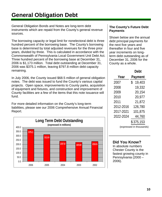## **General Obligation Debt**

General Obligation Bonds and Notes are long-term debt instruments which are repaid from the County's general revenue sources.

The borrowing capacity or legal limit for nonelectoral debt is three hundred percent of the borrowing base. The County's borrowing base is determined by total adjusted revenues for the three prior years, divided by three. This is calculated in accordance with the Commonwealth of Pennsylvania Local Government Unit Debt Act. Three hundred percent of the borrowing base at December 31, 2006 is \$1,173 million. Total debt outstanding at December 31, 2006 was \$375.1 million, leaving \$797.8 million debt capacity remaining.

In July 2006, the County issued \$68.5 million of general obligation notes. The debt was issued to fund the County's various capital projects. Open space, improvements to County parks, acquisition of equipment and fixtures, and construction and improvement of County facilities are a few of the items that this note issuance will fund.

For more detailed information on the County's long-term liabilities, please see our 2006 Comprehensive Annual Financial Report.



#### **The County's Future Debt Payments**

Shown below are the annual debt principal payments for the next five years and thereafter in four and five year increments on longterm debt outstanding as of December 31, 2006 for the County as a whole.

**Year**

**Debt Payment** 2007 \$ 19.403

| 2008      | 19,332    |
|-----------|-----------|
| 2009      | 20,154    |
| 2010      | 20,977    |
| 2011      | 21,872    |
| 2012-2016 | 126,780   |
| 2017-2021 | 101,875   |
| 2022-2024 | 44,760    |
|           | \$375,153 |

(expressed in thousands)

### **Did You Know?**

In absolute numbers Chester County is the fastest growing county in Pennsylvania (2000 – 2006).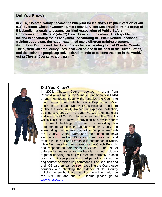#### **Did You Know?**

**In 2006, Chester County became the blueprint for Iceland's 112 (their version of our 911) System!! Chester County's Emergency Services was proud to train a group of 5 Icelandic nationals to become certified Association of Public-Safety Communication Officials' (APCO) Basic Telecommunicators. The Republic of Iceland is enhancing their 112 system. "According to Eirikur Ronald Josefsson, training supervisor, the nation examined many different training programs throughout Europe and the United States before deciding to visit Chester County. The system Chester County uses is viewed as one of the best in the United States, and the Icelandic people agreed. Iceland intends to become the best in the world, using Chester County as a blueprint."** 



#### **Did You Know?**

In 2006, Chester County received a grant from Pennsylvania Emergency Management Agency (PEMA) through Homeland Security that enabled the County to purchase two bomb detection dogs. Deputy Tom Miller and Cento (left) and Deputy Frank Broomall and Nero (right) are extensively trained in explosive detection, tracking and patrol. The dogs live with their handlers and are on call 24/7/365 for emergencies. The Sheriff's Office K-9 Unit is active in providing security to county government buildings, as well as assisting law enforcement agencies throughout Chester County and surrounding communities. Since their "employment" with the County, Cento, Nero and their handlers have assisted on more than 30 cases. Cento was born and trained in Holland and responds to commands in Dutch, while Nero was born and trained in the Czech Republic and responds to commands in Czech. The use of different languages allow the handlers to work closely together knowing the dog will respond correctly to each command. It also prevents a third party from giving the dog counter or misleading commands. The Deputies and their K-9 partners can be seen patrolling the Courthouse corridors and checking the exterior of the County buildings every business day. For more information on the K-9 unit and the K-9 teams please go to [www.chesco.org](http://www.chesco.org/).

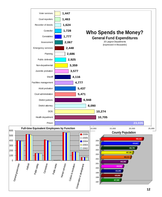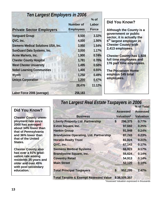#### *Ten Largest Employers in 2006* **% of**

|                                     | <b>Number of</b> | Labor        |  |
|-------------------------------------|------------------|--------------|--|
| <b>Private Sector Employers</b>     | <b>Employees</b> | <b>Force</b> |  |
| <b>Vanguard Group</b>               | 8,500            | 3.32%        |  |
| QVC, Inc.                           | 4,000            | 1.56%        |  |
| Siemens Medical Solutions USA, Inc. | 3,950            | 1.54%        |  |
| SunGuard Data Systems, Inc.         | 3,000            | 1.17%        |  |
| Acme Markets, Inc.                  | 1,900            | 0.74%        |  |
| <b>Chester County Hospital</b>      | 1,781            | 0.70%        |  |
| <b>West Chester University</b>      | 1,495            | 0.58%        |  |
| <b>Nobel Learning Communities</b>   | 1,400            | 0.55%        |  |
| Wyeth                               | 1,250            | 0.49%        |  |
| <b>Unisys Corporation</b>           | 1,200            | 0.47%        |  |
|                                     | 28,476           | 11.12%       |  |
| Labor Force 2006 (average)          | 256,183          |              |  |

### **Did You Know?**

**Although the County is a government or public sector, it is actually the <sup>5</sup>th largest employer in Chester County with 2,413 employees.** 

**Chester County has 1,928 full time employees and 176 part time employees.** 

**% of Total**

**The Pocopson Home employs 345 total employees.** 

### *Ten Largest Real Estate Taxpayers in 2006*

### **Did You Know?**

**Chester County unemployment rate since 2000 has averaged about 34% lower than that of Pennsylvania and 36% lower than that of the United States.** 

**Chester County also has over a 91% graduation rate among residents 25 years and older and over 45% with post secondary education.** 

| <b>Business</b>                                  |    | <b>Assessed</b>   | <b>Assessed</b><br><b>Valuation</b> |  |
|--------------------------------------------------|----|-------------------|-------------------------------------|--|
|                                                  |    | <b>Valuation*</b> |                                     |  |
| <b>Liberty Property Ltd. Partnership</b>         | \$ | 296,375           | 0.77%                               |  |
| <b>Exton Square, Inc.</b>                        |    | 97,682            | 0.25%                               |  |
| <b>Hankin Group</b>                              |    | 91,948            | 0.24%                               |  |
| <b>Brandywine Operating, Ltd. Partnership</b>    |    | 87,743            | 0.23%                               |  |
| <b>Horatio Realty Trust</b>                      |    | 81,824            | 0.21%                               |  |
| QVC, Inc.                                        |    | 67,143            | 0.17%                               |  |
| <b>Siemens Medical Systems</b>                   |    | 66,923            | 0.17%                               |  |
| <b>Brandywine Square, Inc.</b>                   |    | 55,624            | 0.14%                               |  |
| <b>Coventry Retail</b>                           |    | 54,913            | 0.14%                               |  |
| <b>Main Street</b>                               |    | 52,120            | 0.14%                               |  |
| <b>Total Principal Taxpayers</b>                 | \$ | 952,295           | 2.47%                               |  |
| <b>Total Taxable &amp; Exempt Assessed Value</b> |    | \$38,509,357      |                                     |  |

\*Assessed Valuation expressed in thousands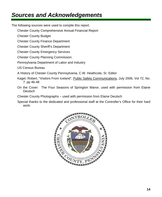## *Sources and Acknowledgements*

The following sources were used to compile this report.

Chester County Comprehensive Annual Financial Report

Chester County Budget

Chester County Finance Department

Chester County Sheriff's Department

Chester County Emergency Services

Chester County Planning Commission

Pennsylvania Department of Labor and Industry

US Census Bureau

A History of Chester County Pennsylvania, C.W. Heathcote, Sr. Editor

- Kagel, Robert, "Visitors From Iceland", Public Safety Communications, July 2006, Vol 72, No. 7: pp 46-48
- On the Cover: The Four Seasons of Springton Manor, used with permission from Elaine **Deutsch**

Chester County Photographs – used with permission from Elaine Deutsch

Special thanks to the dedicated and professional staff at the Controller's Office for their hard work.